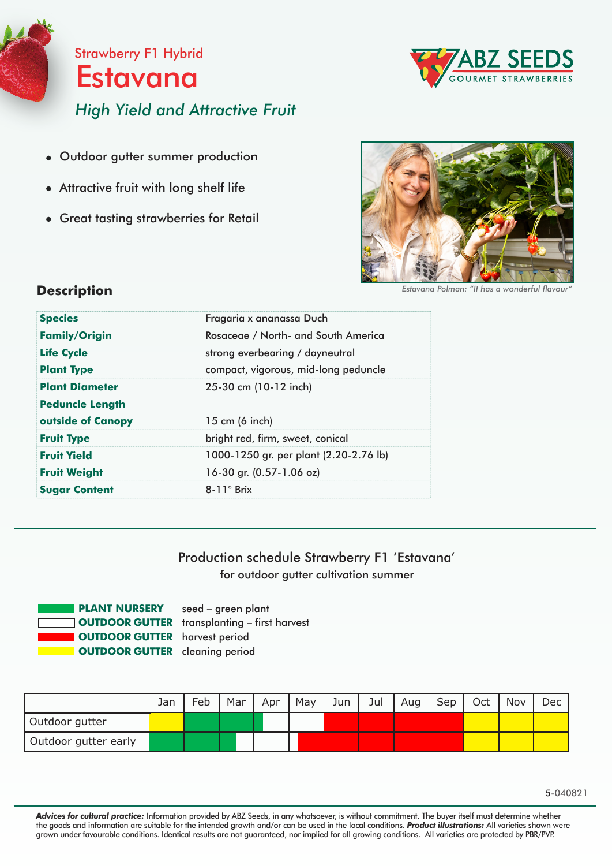

Strawberry F1 Hybrid Estavana

*High Yield and Attractive Fruit*

- Outdoor gutter summer production
- Attractive fruit with long shelf life
- Great tasting strawberries for Retail



**Estavana Polman: "It has a wonderful flavour** 

BZ SEEDS

## **Description**

| <b>Species</b>         | Fragaria x ananassa Duch               |
|------------------------|----------------------------------------|
| <b>Family/Origin</b>   | Rosaceae / North- and South America    |
| <b>Life Cycle</b>      | strong everbearing / dayneutral        |
| <b>Plant Type</b>      | compact, vigorous, mid-long peduncle   |
| <b>Plant Diameter</b>  | 25-30 cm (10-12 inch)                  |
| <b>Peduncle Length</b> |                                        |
| outside of Canopy      | 15 cm (6 inch)                         |
| <b>Fruit Type</b>      | bright red, firm, sweet, conical       |
| <b>Fruit Yield</b>     | 1000-1250 gr. per plant (2.20-2.76 lb) |
| <b>Fruit Weight</b>    | 16-30 gr. (0.57-1.06 oz)               |
| <b>Sugar Content</b>   | $8-11^\circ$ Brix                      |

## Production schedule Strawberry F1 'Estavana' for outdoor gutter cultivation summer



|                      | Jan | Feb | Mar | Apr | May | Jun | Jul | Aug | Sep | Oct | Nov | Dec |
|----------------------|-----|-----|-----|-----|-----|-----|-----|-----|-----|-----|-----|-----|
| Outdoor gutter       |     |     |     |     |     |     |     |     |     |     |     |     |
| Outdoor gutter early |     |     |     |     |     |     |     |     |     |     |     |     |

*Advices for cultural practice:* Information provided by ABZ Seeds, in any whatsoever, is without commitment. The buyer itself must determine whether the goods and information are suitable for the intended growth and/or can be used in the local conditions. *Product illustrations:* All varieties shown were grown under favourable conditions. Identical results are not guaranteed, nor implied for all growing conditions. All varieties are protected by PBR/PVP.